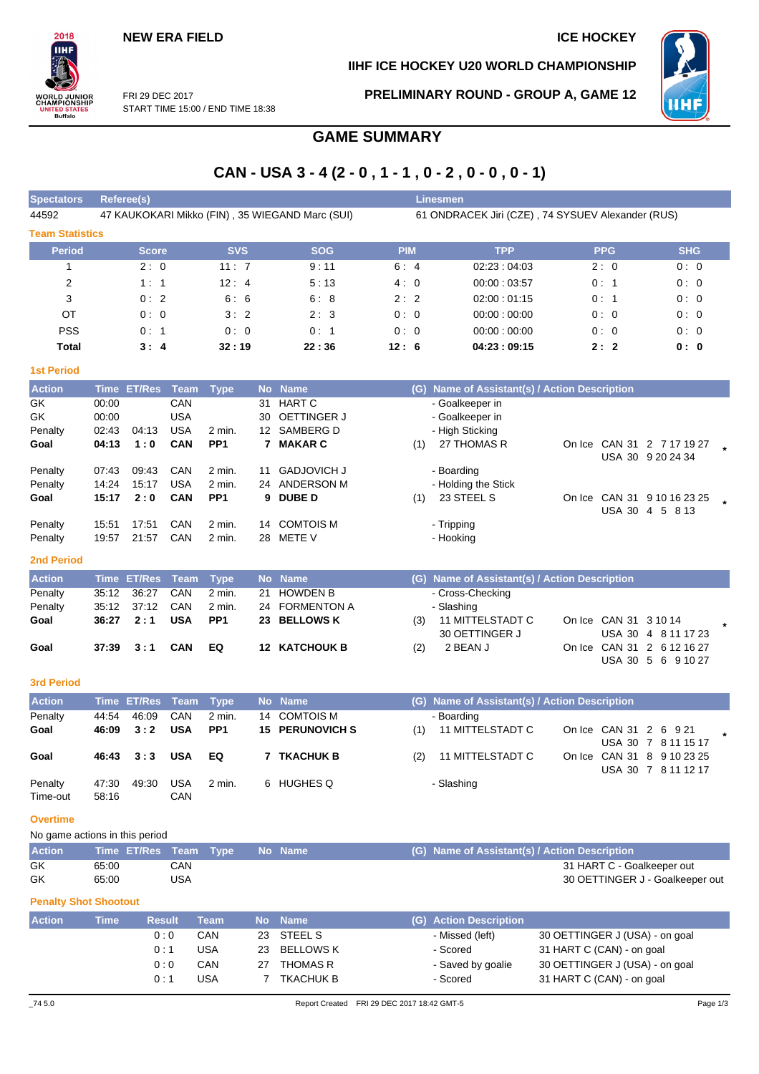# **IIHF ICE HOCKEY U20 WORLD CHAMPIONSHIP**



FRI 29 DEC 2017 START TIME 15:00 / END TIME 18:38 **PRELIMINARY ROUND - GROUP A, GAME 12**

# **GAME SUMMARY**

# **CAN - USA 3 - 4 (2 - 0 , 1 - 1 , 0 - 2 , 0 - 0 , 0 - 1)**

| Spectators <sup>1</sup> | <b>Referee(s)</b>                               |            |            | <b>Linesmen</b> |                                                   |            |            |
|-------------------------|-------------------------------------------------|------------|------------|-----------------|---------------------------------------------------|------------|------------|
| 44592                   | 47 KAUKOKARI Mikko (FIN), 35 WIEGAND Marc (SUI) |            |            |                 | 61 ONDRACEK Jiri (CZE), 74 SYSUEV Alexander (RUS) |            |            |
| <b>Team Statistics</b>  |                                                 |            |            |                 |                                                   |            |            |
| <b>Period</b>           | <b>Score</b>                                    | <b>SVS</b> | <b>SOG</b> | <b>PIM</b>      | <b>TPP</b>                                        | <b>PPG</b> | <b>SHG</b> |
|                         | 2:0                                             | 11:7       | 9:11       | 6:4             | 02:23:04:03                                       | 2:0        | 0:0        |
| 2                       | 1:1                                             | 12:4       | 5:13       | 4:0             | 00:00:03:57                                       | 0:1        | 0:0        |
| 3                       | 0:2                                             | 6:6        | 6:8        | 2:2             | 02:00:01:15                                       | 0:1        | 0:0        |
| OT                      | 0:0                                             | 3:2        | 2:3        | 0:0             | 00:00:00:00                                       | 0:0        | 0:0        |
| <b>PSS</b>              | 0:1                                             | 0:0        | 0:1        | 0:0             | 00:00:00:00                                       | 0:0        | 0:0        |
| Total                   | 3:4                                             | 32:19      | 22:36      | 12:6            | 04:23:09:15                                       | 2:2        | 0: 0       |

## **1st Period**

2018 īн

**)RLD JUNIOR<br>|AMPIONSHIP** 

**TED STATES**<br>Buffalo

| <b>Action</b> |       | Time ET/Res | Team       | <b>Type</b>       |    | No Name            |     | (G) Name of Assistant(s) / Action Description |               |                            |  |
|---------------|-------|-------------|------------|-------------------|----|--------------------|-----|-----------------------------------------------|---------------|----------------------------|--|
| GK            | 00:00 |             | CAN        |                   | 31 | HART C             |     | - Goalkeeper in                               |               |                            |  |
| GK            | 00:00 |             | <b>USA</b> |                   | 30 | OETTINGER J        |     | - Goalkeeper in                               |               |                            |  |
| Penalty       | 02:43 | 04:13       | <b>USA</b> | $2 \text{ min}$ . | 12 | SAMBERG D          |     | - High Sticking                               |               |                            |  |
| Goal          | 04:13 | 1:0         | <b>CAN</b> | PP <sub>1</sub>   |    | <b>MAKAR C</b>     | (1) | 27 THOMAS R                                   |               | On Ice CAN 31 2 7 17 19 27 |  |
|               |       |             |            |                   |    |                    |     |                                               |               | USA 30 9 20 24 34          |  |
| Penalty       | 07:43 | 09:43       | CAN        | 2 min.            | 11 | <b>GADJOVICH J</b> |     | - Boarding                                    |               |                            |  |
| Penalty       | 14:24 | 15:17       | <b>USA</b> | $2 \text{ min}$ . | 24 | ANDERSON M         |     | - Holding the Stick                           |               |                            |  |
| Goal          | 15:17 | 2:0         | <b>CAN</b> | PP <sub>1</sub>   |    | 9 DUBE D           | (1) | 23 STEEL S                                    | On Ice CAN 31 | 9 10 16 23 25              |  |
|               |       |             |            |                   |    |                    |     |                                               | <b>USA 30</b> | 4 5 8 13                   |  |
| Penalty       | 15:51 | 17:51       | CAN        | $2 \text{ min}$ . | 14 | <b>COMTOIS M</b>   |     | - Tripping                                    |               |                            |  |
| Penalty       | 19:57 | 21:57       | CAN        | $2 \text{ min}$ . | 28 | METE V             |     | - Hooking                                     |               |                            |  |

## **2nd Period**

| <b>Action</b> |       | Time ET/Res Team Type |     |        | No Name              |     | (G) Name of Assistant(s) / Action Description |                       |                            |  |
|---------------|-------|-----------------------|-----|--------|----------------------|-----|-----------------------------------------------|-----------------------|----------------------------|--|
| Penalty       |       | 35:12 36:27           | CAN | 2 min. | 21 HOWDEN B          |     | - Cross-Checking                              |                       |                            |  |
| Penalty       |       | 35:12 37:12           | CAN | 2 min. | 24 FORMENTON A       |     | - Slashing                                    |                       |                            |  |
| Goal          | 36:27 | 2:1                   | USA | PP1    | 23 BELLOWS K         | (3) | 11 MITTELSTADT C                              | On Ice CAN 31 3 10 14 |                            |  |
|               |       |                       |     |        |                      |     | 30 OETTINGER J                                |                       | USA 30 4 8 11 17 23        |  |
| Goal          |       | $37:39$ $3:1$         | CAN | EQ     | <b>12 KATCHOUK B</b> | (2) | 2 BEAN J                                      |                       | On Ice CAN 31 2 6 12 16 27 |  |
|               |       |                       |     |        |                      |     |                                               |                       | USA 30 5 6 9 10 27         |  |

### **3rd Period**

| <b>Action</b>       |                | Time ET/Res Team Type |            |                 | No Name                |     | (G) Name of Assistant(s) / Action Description |                        |                                                   |  |
|---------------------|----------------|-----------------------|------------|-----------------|------------------------|-----|-----------------------------------------------|------------------------|---------------------------------------------------|--|
| Penalty             | 44:54          | 46.09                 | CAN        | 2 min.          | 14 COMTOIS M           |     | - Boarding                                    |                        |                                                   |  |
| Goal                | 46:09          | 3:2                   | <b>USA</b> | PP <sub>1</sub> | <b>15 PERUNOVICH S</b> | (1) | 11 MITTELSTADT C                              | On Ice CAN 31 2 6 9 21 | USA 30 7 8 11 15 17                               |  |
| Goal                | 46:43          | 3:3                   | <b>USA</b> | EQ.             | <b>TKACHUK B</b>       | (2) | 11 MITTELSTADT C                              |                        | On Ice CAN 31 8 9 10 23 25<br>USA 30 7 8 11 12 17 |  |
| Penalty<br>Time-out | 47:30<br>58:16 | 49.30                 | USA<br>CAN | 2 min.          | 6 HUGHES Q             |     | - Slashing                                    |                        |                                                   |  |

### **Overtime**

No game actions in this period

| <b>Action</b> | Time ET/Res Team Type No Name |     |  |  | (G) Name of Assistant(s) / Action Description |
|---------------|-------------------------------|-----|--|--|-----------------------------------------------|
| GK            | 65:00                         | CAN |  |  | 31 HART C - Goalkeeper out                    |
| GK            | 65:00                         | USA |  |  | 30 OETTINGER J - Goalkeeper out               |

### **Penalty Shot Shootout**

| <b>Action</b> | Time | <b>Result</b> | Team       |    | No Name         | (G) Action Description |                                |
|---------------|------|---------------|------------|----|-----------------|------------------------|--------------------------------|
|               |      | 0:0           | CAN        | 23 | STEEL S         | - Missed (left)        | 30 OETTINGER J (USA) - on goal |
|               |      | 0 : 1         | <b>USA</b> | 23 | BELLOWS K       | - Scored               | 31 HART C (CAN) - on goal      |
|               |      | 0:0           | CAN        | 27 | <b>THOMAS R</b> | - Saved by goalie      | 30 OETTINGER J (USA) - on goal |
|               |      | 0 : 1         | <b>USA</b> |    | TKACHUK B       | - Scored               | 31 HART C (CAN) - on goal      |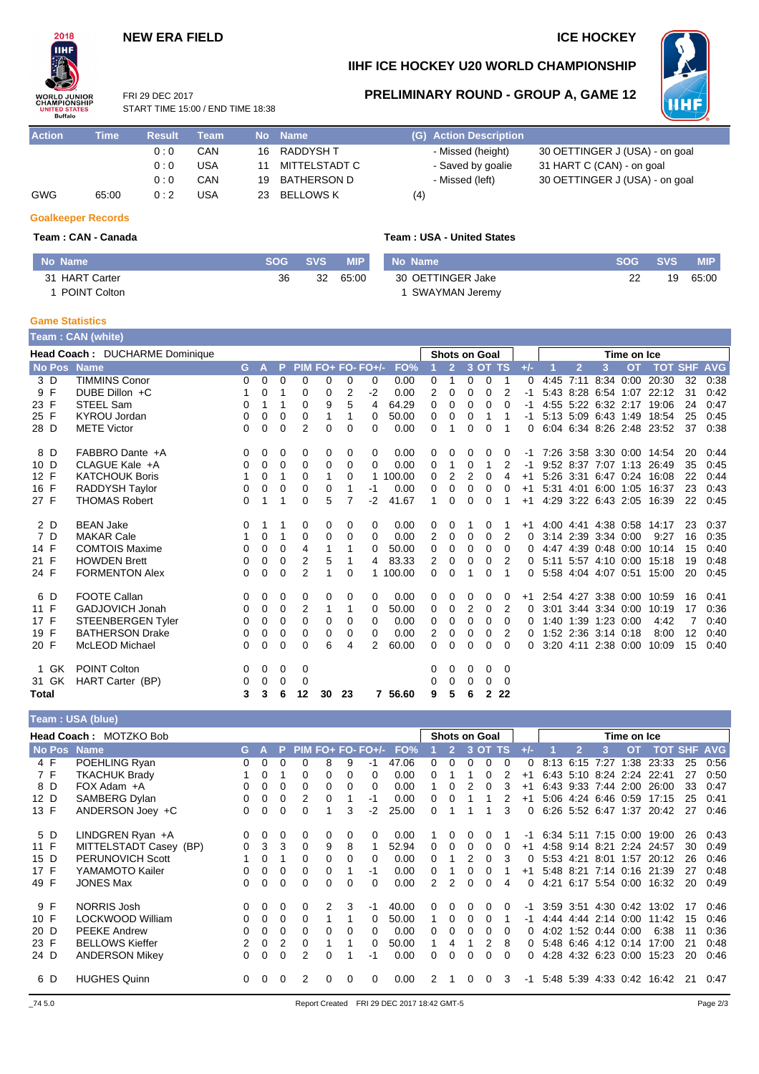# **NEW ERA FIELD ICE HOCKEY**



## **IIHF ICE HOCKEY U20 WORLD CHAMPIONSHIP**

FRI 29 DEC 2017 STAR<sup>-</sup>

# **PRELIMINARY ROUND - GROUP A, GAME 12**

- Saved by goalie 31 HART C (CAN) - on goal - Missed (left) 30 OETTINGER J (USA) - on goal



| <b>UNITED STATES</b><br>Buffalo |      | START TIME 15:00 / END TIME 18:38 |      |    |           |                        | <u>I ULI</u>                   |
|---------------------------------|------|-----------------------------------|------|----|-----------|------------------------|--------------------------------|
| <b>Action</b>                   | Time | <b>Result</b>                     | Team |    | No Name   | (G) Action Description |                                |
|                                 |      | n · n                             | CAN  | 16 | RADDYSH T | - Missed (height)      | 30 OETTINGER J (USA) - on goal |

|     |       | U.U         | <b>UAN</b> | IO RADDIONI      |     |
|-----|-------|-------------|------------|------------------|-----|
|     |       | 0:0         | USA        | 11 MITTELSTADT C |     |
|     |       | $0 \cdot 0$ | CAN        | 19 BATHERSON D   |     |
| GWG | 65:00 | 0:2         | USA        | 23 BELLOWS K     | (4) |

## **Team : CAN - Canada Team : USA - United States**

| No Name        | SOG SVS |    | <b>MIP</b> | No Name           | <b>SOG</b> | <b>SVS</b> | <b>MIP</b> |
|----------------|---------|----|------------|-------------------|------------|------------|------------|
| 31 HART Carter | 36      | 32 | 65:00      | 30 OETTINGER Jake |            | 19         | 65:00      |
| 1 POINT Colton |         |    |            | SWAYMAN Jeremy    |            |            |            |

### **Game Statistics**

**Goalkeeper Records**

|       |       | Team : CAN (white)                    |          |   |   |             |    |          |                   |         |          |                      |                |              |          |          |      |      |                     |             |                           |    |            |
|-------|-------|---------------------------------------|----------|---|---|-------------|----|----------|-------------------|---------|----------|----------------------|----------------|--------------|----------|----------|------|------|---------------------|-------------|---------------------------|----|------------|
|       |       | <b>Head Coach: DUCHARME Dominique</b> |          |   |   |             |    |          |                   |         |          | <b>Shots on Goal</b> |                |              |          |          |      |      |                     | Time on Ice |                           |    |            |
|       |       | <b>No Pos</b> Name                    | G.       | A | P |             |    |          | PIM FO+ FO- FO+/- | FO%     |          | 2                    |                | 3 OT TS      |          | $+/-$    |      |      | 3                   | <b>OT</b>   | <b>TOT SHF</b>            |    | <b>AVG</b> |
| 3 D   |       | <b>TIMMINS Conor</b>                  | 0        | 0 | 0 | $\mathbf 0$ | 0  | 0        | 0                 | 0.00    | 0        | 1                    | 0              | 0            | 1        | $\Omega$ | 4:45 | 7:11 | 8:34 0:00           |             | 20:30                     | 32 | 0:38       |
| 9 F   |       | DUBE Dillon +C                        |          | 0 | 1 | 0           | 0  | 2        | $-2$              | 0.00    | 2        | 0                    | 0              | $\mathbf 0$  | 2        | -1       |      |      |                     |             | 5:43 8:28 6:54 1:07 22:12 | 31 | 0:42       |
| 23 F  |       | STEEL Sam                             | 0        |   | 1 | 0           | 9  | 5        | 4                 | 64.29   | 0        | 0                    | 0              | 0            | $\Omega$ |          |      |      |                     |             | 4:55 5:22 6:32 2:17 19:06 | 24 | 0:47       |
| 25 F  |       | KYROU Jordan                          | 0        | 0 | 0 | 0           | 1  |          | $\Omega$          | 50.00   | 0        | 0                    | 0              | 1            |          | -1       |      |      |                     |             | 5:13 5:09 6:43 1:49 18:54 | 25 | 0:45       |
| 28 D  |       | <b>METE Victor</b>                    | 0        | 0 | 0 | 2           | 0  | $\Omega$ | 0                 | 0.00    | 0        | 1                    | $\Omega$       | $\Omega$     |          | 0        |      |      | 6:04 6:34 8:26 2:48 |             | 23:52                     | 37 | 0:38       |
| 8 D   |       | FABBRO Dante +A                       | 0        | 0 | 0 | 0           | 0  | 0        | 0                 | 0.00    | 0        | 0                    | 0              | 0            | 0        | -1       |      |      |                     |             | 7:26 3:58 3:30 0:00 14:54 | 20 | 0.44       |
| 10 D  |       | CLAGUE Kale +A                        | 0        | 0 | 0 | 0           | 0  | 0        | $\Omega$          | 0.00    | $\Omega$ |                      | 0              | 1            | 2        | -1       |      |      | 9:52 8:37 7:07 1:13 |             | 26:49                     | 35 | 0:45       |
| 12 F  |       | <b>KATCHOUK Boris</b>                 |          | 0 | 1 | $\Omega$    | 1  | $\Omega$ | 1                 | 100.00  | $\Omega$ | 2                    | $\overline{2}$ | $\mathbf 0$  | 4        | $+1$     |      |      |                     |             | 5:26 3:31 6:47 0:24 16:08 | 22 | 0:44       |
| 16 F  |       | <b>RADDYSH Taylor</b>                 | 0        | 0 | 0 | 0           | 0  |          | -1                | 0.00    | 0        | 0                    | 0              | 0            | 0        | $+1$     |      |      |                     |             | 5:31 4:01 6:00 1:05 16:37 | 23 | 0:43       |
| 27 F  |       | <b>THOMAS Robert</b>                  | $\Omega$ | 1 | 1 | 0           | 5  | 7        | $-2$              | 41.67   | 1        | $\Omega$             | $\Omega$       | $\Omega$     | 1        | $+1$     |      |      |                     |             | 4:29 3:22 6:43 2:05 16:39 | 22 | 0:45       |
| 2 D   |       | <b>BEAN Jake</b>                      | 0        | 1 | 1 | 0           | 0  | 0        | 0                 | 0.00    | 0        | 0                    |                | 0            |          | $+1$     |      |      |                     |             | 4:00 4:41 4:38 0:58 14:17 | 23 | 0:37       |
| 7 D   |       | <b>MAKAR Cale</b>                     |          | 0 | 1 | $\mathbf 0$ | 0  | 0        | 0                 | 0.00    | 2        | $\overline{0}$       | 0              | 0            | 2        | 0        |      |      | 3:14 2:39 3:34 0:00 |             | 9:27                      | 16 | 0:35       |
| 14 F  |       | <b>COMTOIS Maxime</b>                 | 0        | 0 | 0 | 4           | 1  |          | $\Omega$          | 50.00   | 0        | 0                    | 0              | 0            | 0        | 0        |      |      | 4:47 4:39 0:48 0:00 |             | 10:14                     | 15 | 0:40       |
| 21 F  |       | <b>HOWDEN Brett</b>                   | 0        | 0 | 0 | 2           | 5  |          | 4                 | 83.33   | 2        | 0                    | 0              | 0            | 2        | 0        |      |      |                     |             | 5:11 5:57 4:10 0:00 15:18 | 19 | 0:48       |
| 24 F  |       | <b>FORMENTON Alex</b>                 | 0        | 0 | 0 | 2           |    | 0        |                   | 100.00  | 0        | $\Omega$             |                | $\Omega$     |          | 0        |      |      |                     |             | 5:58 4:04 4:07 0:51 15:00 | 20 | 0:45       |
| 6 D   |       | <b>FOOTE Callan</b>                   | 0        | 0 | 0 | 0           | 0  | 0        | 0                 | 0.00    | 0        | 0                    | 0              | 0            | 0        | $+1$     |      |      |                     |             | 2:54 4:27 3:38 0:00 10:59 | 16 | 0.41       |
| 11 F  |       | <b>GADJOVICH Jonah</b>                | 0        | 0 | 0 | 2           | 1  | 1        | 0                 | 50.00   | 0        | 0                    | 2              | 0            | 2        | 0        |      |      | 3:01 3:44 3:34 0:00 |             | 10:19                     | 17 | 0:36       |
| 17 F  |       | <b>STEENBERGEN Tyler</b>              | 0        | 0 | 0 | 0           | 0  | $\Omega$ | $\Omega$          | 0.00    | 0        | 0                    | 0              | 0            | 0        | 0        | 1:40 |      | 1:39 1:23 0:00      |             | 4:42                      | 7  | 0:40       |
| 19 F  |       | <b>BATHERSON Drake</b>                | 0        | 0 | 0 | 0           | 0  | 0        | $\Omega$          | 0.00    | 2        | 0                    | 0              | 0            | 2        | 0        |      |      | 1:52 2:36 3:14 0:18 |             | 8:00                      | 12 | 0:40       |
| 20 F  |       | McLEOD Michael                        | $\Omega$ | 0 | 0 | $\Omega$    | 6  | 4        | 2                 | 60.00   | 0        | $\Omega$             | $\Omega$       | $\Omega$     | $\Omega$ | 0        |      |      | 3:20 4:11 2:38 0:00 |             | 10:09                     | 15 | 0:40       |
|       | 1 GK  | <b>POINT Colton</b>                   | 0        | 0 | 0 | 0           |    |          |                   |         | 0        | 0                    | 0              | 0            | 0        |          |      |      |                     |             |                           |    |            |
|       | 31 GK | HART Carter (BP)                      | 0        | 0 | 0 | 0           |    |          |                   |         | 0        | $\Omega$             | 0              | 0            | 0        |          |      |      |                     |             |                           |    |            |
| Total |       |                                       | 3        | 3 | 6 | 12          | 30 | 23       |                   | 7 56.60 | 9        | 5                    | 6              | $\mathbf{2}$ | 22       |          |      |      |                     |             |                           |    |            |

|             | Team: USA (blue)       |                |             |          |                |   |          |                     |       |          |                |          |                      |          |                  |           |           |                     |             |                           |    |                |
|-------------|------------------------|----------------|-------------|----------|----------------|---|----------|---------------------|-------|----------|----------------|----------|----------------------|----------|------------------|-----------|-----------|---------------------|-------------|---------------------------|----|----------------|
|             | Head Coach: MOTZKO Bob |                |             |          |                |   |          |                     |       |          |                |          | <b>Shots on Goal</b> |          |                  |           |           |                     | Time on Ice |                           |    |                |
| No Pos Name |                        | G.             | A           | P.       |                |   |          | $PIM FO+ FO- FO+/-$ | FO%   |          | $\overline{2}$ | 3        | <b>OT</b>            | TS       | $+/-$            |           | 2         | 3                   | <b>OT</b>   | <b>TOT</b>                |    | <b>SHF AVG</b> |
| 4 F         | POEHLING Ryan          | 0              | 0           | 0        | 0              | 8 | 9        | -1                  | 47.06 | 0        | $\Omega$       | 0        | O                    | $\Omega$ | 0                | 8:13      | 6:15      | 7:27                | 1:38        | 23:33                     | 25 | 0:56           |
| 7 F         | <b>TKACHUK Brady</b>   |                | 0           |          | $\Omega$       | 0 | 0        | 0                   | 0.00  | 0        |                |          |                      |          | $^{\mathrm{+1}}$ |           |           | 6:43 5:10 8:24      | 2:24        | 22:41                     | 27 | 0:50           |
| 8 D         | FOX Adam +A            | 0              | 0           | 0        | 0              | 0 | $\Omega$ | $\Omega$            | 0.00  |          | 0              | 2        | 0                    | 3        | $+1$             |           | 6:43 9:33 | 7:44                | 2:00        | 26:00                     | 33 | 0:47           |
| 12 D        | SAMBERG Dylan          | 0              | 0           | 0        | 2              | 0 |          | -1                  | 0.00  | $\Omega$ | 0              |          |                      |          | $+1$             |           |           | 5.06 4.24 6.46 0.59 |             | 17:15                     | 25 | 0:41           |
| 13 F        | ANDERSON Joey +C       | 0              | $\Omega$    | 0        | 0              |   | 3        | $-2$                | 25.00 | $\Omega$ |                |          |                      | 3        | 0                |           |           |                     |             | 6:26 5:52 6:47 1:37 20:42 | 27 | 0:46           |
| 5 D         | LINDGREN Ryan +A       | 0              | $\Omega$    | 0        | 0              | 0 | $\Omega$ | 0                   | 0.00  |          | 0              | 0        | <sup>0</sup>         |          | -1               |           |           | 6:34 5:11 7:15 0:00 |             | 19:00                     | 26 | 0.43           |
| 11 F        | MITTELSTADT Casey (BP) | 0              | 3           | 3        | 0              | 9 | 8        |                     | 52.94 | 0        | 0              | 0        | 0                    | 0        | $+1$             |           | 4:58 9:14 | -8:21               | 2:24        | 24:57                     | 30 | 0:49           |
| 15 D        | PERUNOVICH Scott       |                | 0           |          | 0              | 0 | 0        | 0                   | 0.00  | 0        |                |          |                      | 3        |                  | 5:53 4:21 |           | 8:01                | 1:57        | 20:12                     | 26 | 0:46           |
| 17 F        | YAMAMOTO Kailer        | 0              | 0           | 0        | 0              | 0 |          | -1                  | 0.00  | 0        |                | 0        | 0                    |          | $+1$             | 5:48 8:21 |           | 7:14                | 0:16        | 21:39                     | 27 | 0:48           |
| 49 F        | <b>JONES Max</b>       | 0              | $\mathbf 0$ | 0        | 0              | 0 | $\Omega$ | 0                   | 0.00  | 2        | 2              | $\Omega$ | 0                    | 4        | 0                |           |           | 4:21 6:17 5:54      | 0:00        | 16:32                     | 20 | 0:49           |
|             |                        |                |             |          |                |   |          |                     |       |          |                |          |                      |          |                  |           |           |                     |             |                           |    |                |
| 9 F         | <b>NORRIS Josh</b>     | $\Omega$       | 0           | $\Omega$ | $\Omega$       | 2 | 3        | $-1$                | 40.00 | 0        | 0              | 0        | 0                    | $\Omega$ | -1               |           |           | 3:59 3:51 4:30 0:42 |             | 13:02                     | 17 | 0:46           |
| 10 F        | LOCKWOOD William       | 0              | $\Omega$    | 0        | $\Omega$       | 1 |          | 0                   | 50.00 |          | 0              | 0        | 0                    |          | -1               | 4:44      |           | 4:44 2:14           | 0:00        | 11:42                     | 15 | 0:46           |
| 20 D        | <b>PEEKE Andrew</b>    | 0              | 0           | 0        | $\Omega$       | 0 | 0        | 0                   | 0.00  | 0        | 0              | 0        | 0                    | 0        | 0                | 4:02      |           | 1:52 0:44           | 0:00        | 6:38                      | 11 | 0:36           |
| 23 F        | <b>BELLOWS Kieffer</b> | $\overline{2}$ | 0           | 2        | $\Omega$       |   |          | 0                   | 50.00 |          | 4              |          | 2                    | 8        |                  |           |           | 5:48 6:46 4:12      | 0:14        | 17:00                     | 21 | 0:48           |
| 24 D        | <b>ANDERSON Mikey</b>  | 0              | $\Omega$    | 0        | $\overline{2}$ | 0 |          | $-1$                | 0.00  | 0        | 0              | 0        | 0                    | 0        |                  | 4:28      |           | 4:32 6:23           | 0:00        | 15:23                     | 20 | 0:46           |
| 6 D         | <b>HUGHES Quinn</b>    | $\Omega$       | $\Omega$    | $\Omega$ | 2              | 0 | $\Omega$ | 0                   | 0.00  | 2        |                | 0        | $\Omega$             | 3        | -1               |           |           | 5:48 5:39 4:33 0:42 |             | 16:42                     | 21 | 0.47           |